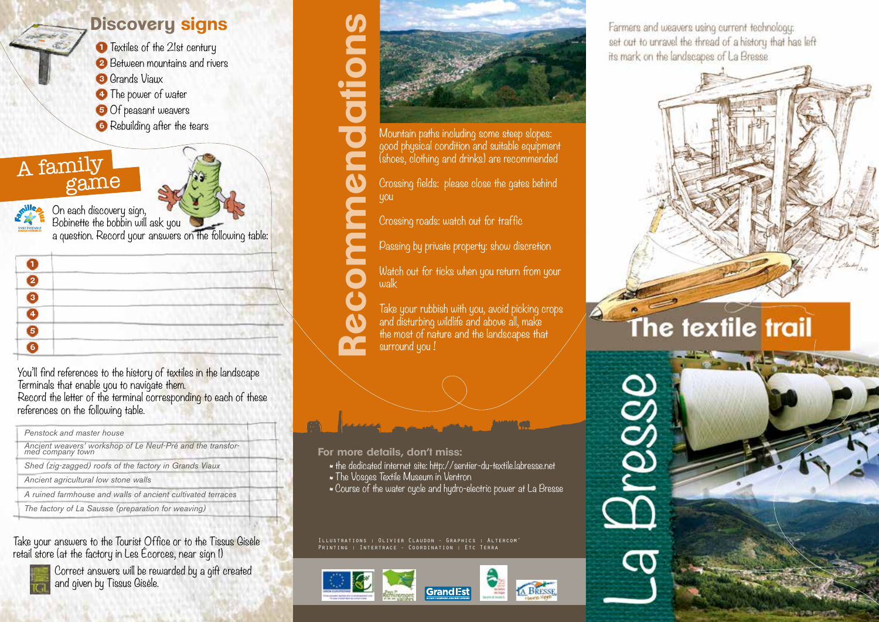## **Discovery signs**

**1** Textiles of the 21st century **2** Between mountains and rivers **3** Grands Viaux

- **4** The power of water
- **5** Of peasant weavers
- **6** Rebuilding after the tears

A family game



On each discovery sign, Bobinette the bobbin will ask you a question. Record your answers on the following table:

You'll find references to the history of textiles in the landscape Terminals that enable you to navigate them. Record the letter of the terminal corresponding to each of these references on the following table.

| Penstock and master house                                                      |  |
|--------------------------------------------------------------------------------|--|
| Ancient weavers' workshop of Le Neuf-Pré and the transfor-<br>med company town |  |
| Shed (zig-zagged) roofs of the factory in Grands Viaux                         |  |
| Ancient agricultural low stone walls                                           |  |
| A ruined farmhouse and walls of ancient cultivated terraces                    |  |
| The factory of La Sausse (preparation for weaving)                             |  |
|                                                                                |  |

Take your answers to the Tourist Office or to the Tissus Gisèle retail store (at the factory in Les Écorces, near sign 1)



Correct answers will be rewarded by a gift created and given by Tissus Gisèle.



Mountain paths including some steep slopes: good physical condition and suitable equipment (shoes, clothing and drinks) are recommended

Crossing fields: please close the gates behind you

Crossing roads: watch out for traffic

Passing by private property: show discretion

Watch out for ticks when you return from your walk

Take your rubbish with you, avoid picking crops and disturbing wildlife and above all, make the most of nature and the landscapes that<br>surround you!



- the dedicated internet site: http://sentier-du-textile.labresse.net
- \* \* The Vosges Textile Museum in Ventron
- \* Course of the water cycle and hydro-electric power at La Bresse

Printing : Intertrace - Coordination : Etc Terra



Farmers and weavers using current technology: set out to unravel the thread of a history that has left its mark on the landscapes of La Bresse